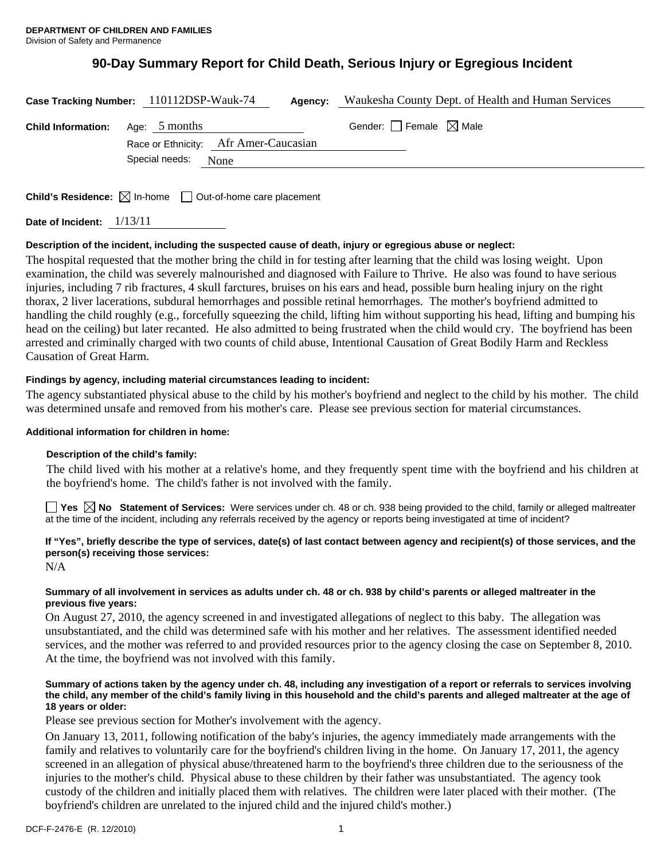# **90-Day Summary Report for Child Death, Serious Injury or Egregious Incident**

|                                         | Case Tracking Number: 110112DSP-Wauk-74 | <b>Agency:</b> Waukesha County Dept. of Health and Human Services |
|-----------------------------------------|-----------------------------------------|-------------------------------------------------------------------|
| <b>Child Information:</b> Age: 5 months |                                         | Gender: $\Box$ Female $\boxtimes$ Male                            |
|                                         | Race or Ethnicity: Afr Amer-Caucasian   |                                                                   |
| Special needs:<br>None                  |                                         |                                                                   |
|                                         |                                         |                                                                   |

**Child's Residence:**  $\boxtimes$  In-home  $\Box$  Out-of-home care placement

**Date of Incident:** 1/13/11

## **Description of the incident, including the suspected cause of death, injury or egregious abuse or neglect:**

The hospital requested that the mother bring the child in for testing after learning that the child was losing weight. Upon examination, the child was severely malnourished and diagnosed with Failure to Thrive. He also was found to have serious injuries, including 7 rib fractures, 4 skull farctures, bruises on his ears and head, possible burn healing injury on the right thorax, 2 liver lacerations, subdural hemorrhages and possible retinal hemorrhages. The mother's boyfriend admitted to handling the child roughly (e.g., forcefully squeezing the child, lifting him without supporting his head, lifting and bumping his head on the ceiling) but later recanted. He also admitted to being frustrated when the child would cry. The boyfriend has been arrested and criminally charged with two counts of child abuse, Intentional Causation of Great Bodily Harm and Reckless Causation of Great Harm.

## **Findings by agency, including material circumstances leading to incident:**

The agency substantiated physical abuse to the child by his mother's boyfriend and neglect to the child by his mother. The child was determined unsafe and removed from his mother's care. Please see previous section for material circumstances.

#### **Additional information for children in home:**

#### **Description of the child's family:**

The child lived with his mother at a relative's home, and they frequently spent time with the boyfriend and his children at the boyfriend's home. The child's father is not involved with the family.

■ Yes **No** Statement of Services: Were services under ch. 48 or ch. 938 being provided to the child, family or alleged maltreater at the time of the incident, including any referrals received by the agency or reports being investigated at time of incident?

# **If "Yes", briefly describe the type of services, date(s) of last contact between agency and recipient(s) of those services, and the person(s) receiving those services:**

N/A

## **Summary of all involvement in services as adults under ch. 48 or ch. 938 by child's parents or alleged maltreater in the previous five years:**

On August 27, 2010, the agency screened in and investigated allegations of neglect to this baby. The allegation was unsubstantiated, and the child was determined safe with his mother and her relatives. The assessment identified needed services, and the mother was referred to and provided resources prior to the agency closing the case on September 8, 2010. At the time, the boyfriend was not involved with this family.

### **Summary of actions taken by the agency under ch. 48, including any investigation of a report or referrals to services involving the child, any member of the child's family living in this household and the child's parents and alleged maltreater at the age of 18 years or older:**

Please see previous section for Mother's involvement with the agency.

On January 13, 2011, following notification of the baby's injuries, the agency immediately made arrangements with the family and relatives to voluntarily care for the boyfriend's children living in the home. On January 17, 2011, the agency screened in an allegation of physical abuse/threatened harm to the boyfriend's three children due to the seriousness of the injuries to the mother's child. Physical abuse to these children by their father was unsubstantiated. The agency took custody of the children and initially placed them with relatives. The children were later placed with their mother. (The boyfriend's children are unrelated to the injured child and the injured child's mother.)